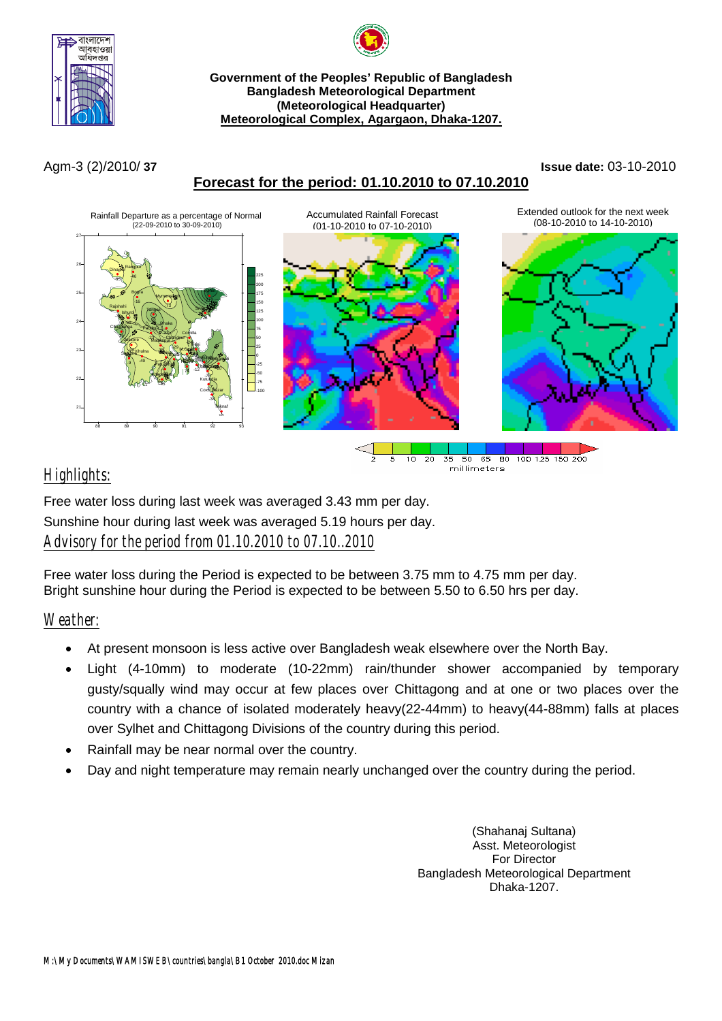



**Meteorological Complex, Agargaon, Dhaka-1207.**

# **Forecast for the period: 01.10.2010 to 07.10.2010**

#### Agm-3 (2)/2010/ **37 Issue date:** 03-10-2010



## *Highlights:*

Free water loss during last week was averaged 3.43 mm per day. Sunshine hour during last week was averaged 5.19 hours per day. *Advisory for the period from 01.10.2010 to 07.10..2010*

Free water loss during the Period is expected to be between 3.75 mm to 4.75 mm per day. Bright sunshine hour during the Period is expected to be between 5.50 to 6.50 hrs per day.

## *Weather:*

- At present monsoon is less active over Bangladesh weak elsewhere over the North Bay.
- Light (4-10mm) to moderate (10-22mm) rain/thunder shower accompanied by temporary gusty/squally wind may occur at few places over Chittagong and at one or two places over the country with a chance of isolated moderately heavy(22-44mm) to heavy(44-88mm) falls at places over Sylhet and Chittagong Divisions of the country during this period.
- Rainfall may be near normal over the country.
- Day and night temperature may remain nearly unchanged over the country during the period.

(Shahanaj Sultana) Asst. Meteorologist For Director Bangladesh Meteorological Department Dhaka-1207.

millimeters